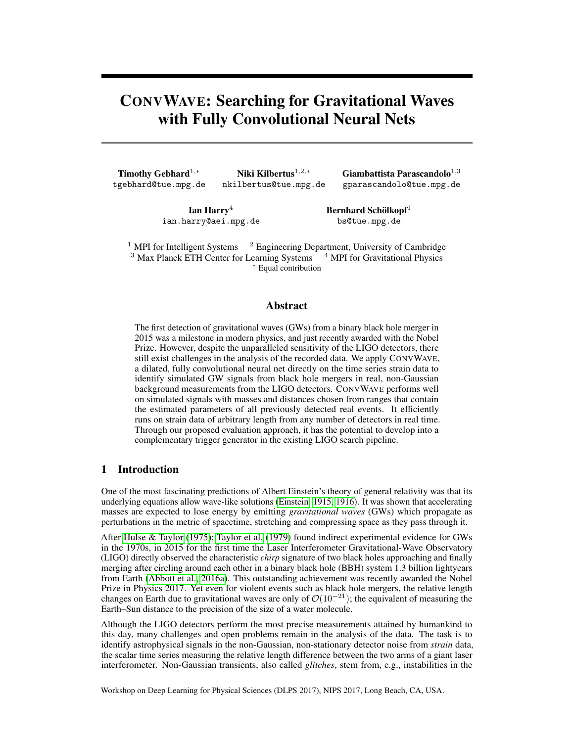# CONVWAVE: Searching for Gravitational Waves with Fully Convolutional Neural Nets

Timothy Gebhard<sup>1,\*</sup> tgebhard@tue.mpg.de

Niki Kilbertus<sup>1,2,∗</sup> nkilbertus@tue.mpg.de

Giambattista Parascandolo<sup>1,3</sup> gparascandolo@tue.mpg.de

Ian Harry<sup>4</sup> ian.harry@aei.mpg.de Bernhard Schölkopf<sup>1</sup> bs@tue.mpg.de

<sup>1</sup> MPI for Intelligent Systems  $2$  Engineering Department, University of Cambridge  $3$  Max Planck ETH Center for Learning Systems  $4$  MPI for Gravitational Physics <sup>∗</sup> Equal contribution

## Abstract

The first detection of gravitational waves (GWs) from a binary black hole merger in 2015 was a milestone in modern physics, and just recently awarded with the Nobel Prize. However, despite the unparalleled sensitivity of the LIGO detectors, there still exist challenges in the analysis of the recorded data. We apply CONVWAVE, a dilated, fully convolutional neural net directly on the time series strain data to identify simulated GW signals from black hole mergers in real, non-Gaussian background measurements from the LIGO detectors. CONVWAVE performs well on simulated signals with masses and distances chosen from ranges that contain the estimated parameters of all previously detected real events. It efficiently runs on strain data of arbitrary length from any number of detectors in real time. Through our proposed evaluation approach, it has the potential to develop into a complementary trigger generator in the existing LIGO search pipeline.

# 1 Introduction

One of the most fascinating predictions of Albert Einstein's theory of general relativity was that its underlying equations allow wave-like solutions [\(Einstein, 1915,](#page-4-0) [1916\)](#page-4-1). It was shown that accelerating masses are expected to lose energy by emitting *gravitational waves* (GWs) which propagate as perturbations in the metric of spacetime, stretching and compressing space as they pass through it.

After [Hulse & Taylor](#page-5-0) [\(1975\)](#page-5-0); [Taylor et al.](#page-5-1) [\(1979\)](#page-5-1) found indirect experimental evidence for GWs in the 1970s, in 2015 for the first time the Laser Interferometer Gravitational-Wave Observatory (LIGO) directly observed the characteristic *chirp* signature of two black holes approaching and finally merging after circling around each other in a binary black hole (BBH) system 1.3 billion lightyears from Earth [\(Abbott et al., 2016a\)](#page-4-2). This outstanding achievement was recently awarded the Nobel Prize in Physics 2017. Yet even for violent events such as black hole mergers, the relative length changes on Earth due to gravitational waves are only of  $\mathcal{O}(10^{-21})$ ; the equivalent of measuring the Earth–Sun distance to the precision of the size of a water molecule.

Although the LIGO detectors perform the most precise measurements attained by humankind to this day, many challenges and open problems remain in the analysis of the data. The task is to identify astrophysical signals in the non-Gaussian, non-stationary detector noise from *strain* data, the scalar time series measuring the relative length difference between the two arms of a giant laser interferometer. Non-Gaussian transients, also called *glitches*, stem from, e.g., instabilities in the

Workshop on Deep Learning for Physical Sciences (DLPS 2017), NIPS 2017, Long Beach, CA, USA.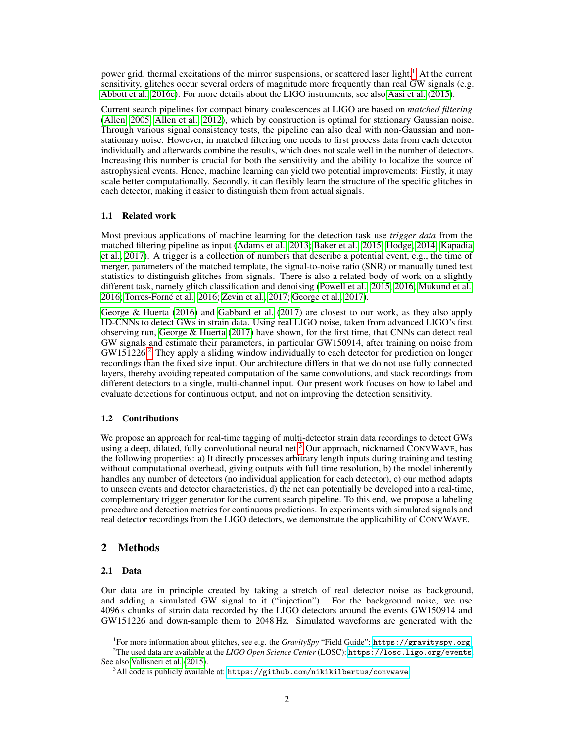power grid, thermal excitations of the mirror suspensions, or scattered laser light.<sup>[1](#page-1-0)</sup> At the current sensitivity, glitches occur several orders of magnitude more frequently than real GW signals (e.g. [Abbott et al., 2016c\)](#page-4-3). For more details about the LIGO instruments, see also [Aasi et al.](#page-4-4) [\(2015\)](#page-4-4).

Current search pipelines for compact binary coalescences at LIGO are based on *matched filtering* [\(Allen, 2005;](#page-4-5) [Allen et al., 2012\)](#page-4-6), which by construction is optimal for stationary Gaussian noise. Through various signal consistency tests, the pipeline can also deal with non-Gaussian and nonstationary noise. However, in matched filtering one needs to first process data from each detector individually and afterwards combine the results, which does not scale well in the number of detectors. Increasing this number is crucial for both the sensitivity and the ability to localize the source of astrophysical events. Hence, machine learning can yield two potential improvements: Firstly, it may scale better computationally. Secondly, it can flexibly learn the structure of the specific glitches in each detector, making it easier to distinguish them from actual signals.

## 1.1 Related work

Most previous applications of machine learning for the detection task use *trigger data* from the matched filtering pipeline as input [\(Adams et al., 2013;](#page-4-7) [Baker et al., 2015;](#page-4-8) [Hodge, 2014;](#page-5-2) [Kapadia](#page-5-3) [et al., 2017\)](#page-5-3). A trigger is a collection of numbers that describe a potential event, e.g., the time of merger, parameters of the matched template, the signal-to-noise ratio (SNR) or manually tuned test statistics to distinguish glitches from signals. There is also a related body of work on a slightly different task, namely glitch classification and denoising [\(Powell et al., 2015,](#page-5-4) [2016;](#page-5-5) [Mukund et al.,](#page-5-6) [2016;](#page-5-6) [Torres-Forné et al., 2016;](#page-5-7) [Zevin et al., 2017;](#page-5-8) [George et al., 2017\)](#page-5-9).

[George & Huerta](#page-5-10) [\(2016\)](#page-5-10) and [Gabbard et al.](#page-5-11) [\(2017\)](#page-5-11) are closest to our work, as they also apply 1D-CNNs to detect GWs in strain data. Using real LIGO noise, taken from advanced LIGO's first observing run, [George & Huerta](#page-5-12) [\(2017\)](#page-5-12) have shown, for the first time, that CNNs can detect real GW signals and estimate their parameters, in particular GW150914, after training on noise from  $GW151226<sup>2</sup>$  $GW151226<sup>2</sup>$  $GW151226<sup>2</sup>$ . They apply a sliding window individually to each detector for prediction on longer recordings than the fixed size input. Our architecture differs in that we do not use fully connected layers, thereby avoiding repeated computation of the same convolutions, and stack recordings from different detectors to a single, multi-channel input. Our present work focuses on how to label and evaluate detections for continuous output, and not on improving the detection sensitivity.

#### 1.2 Contributions

We propose an approach for real-time tagging of multi-detector strain data recordings to detect GWs using a deep, dilated, fully convolutional neural net.<sup>[3](#page-1-2)</sup> Our approach, nicknamed CONVWAVE, has the following properties: a) It directly processes arbitrary length inputs during training and testing without computational overhead, giving outputs with full time resolution, b) the model inherently handles any number of detectors (no individual application for each detector), c) our method adapts to unseen events and detector characteristics, d) the net can potentially be developed into a real-time, complementary trigger generator for the current search pipeline. To this end, we propose a labeling procedure and detection metrics for continuous predictions. In experiments with simulated signals and real detector recordings from the LIGO detectors, we demonstrate the applicability of CONVWAVE.

# <span id="page-1-3"></span>2 Methods

#### 2.1 Data

Our data are in principle created by taking a stretch of real detector noise as background, and adding a simulated GW signal to it ("injection"). For the background noise, we use 4096 s chunks of strain data recorded by the LIGO detectors around the events GW150914 and GW151226 and down-sample them to 2048 Hz. Simulated waveforms are generated with the

<span id="page-1-1"></span><span id="page-1-0"></span><sup>&</sup>lt;sup>1</sup>For more information about glitches, see e.g. the *GravitySpy* "Field Guide": <https://gravityspy.org>. <sup>2</sup>The used data are available at the *LIGO Open Science Center* (LOSC): <https://losc.ligo.org/events>. See also [Vallisneri et al.](#page-5-13) [\(2015\)](#page-5-13).

<span id="page-1-2"></span> $3$ All code is publicly available at: <https://github.com/nikikilbertus/convwave>.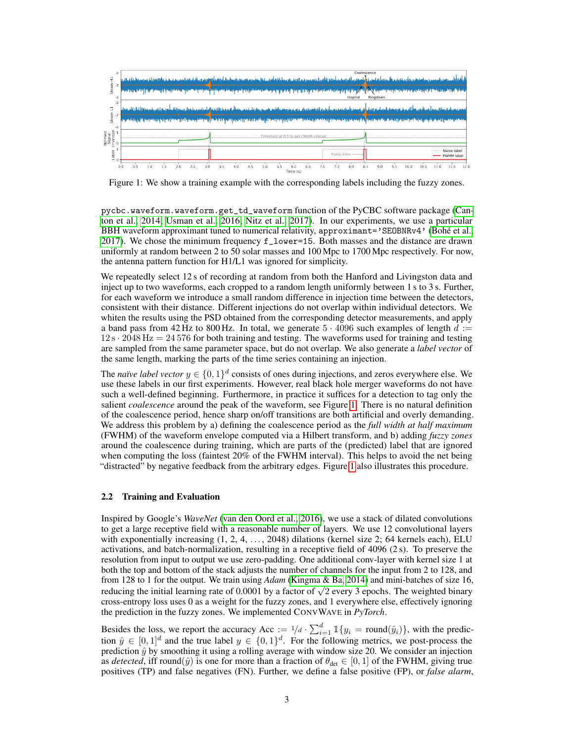

<span id="page-2-0"></span>Figure 1: We show a training example with the corresponding labels including the fuzzy zones.

pycbc.waveform.waveform.get\_td\_waveform function of the PyCBC software package [\(Can](#page-4-9)[ton et al., 2014;](#page-4-9) [Usman et al., 2016;](#page-5-14) [Nitz et al., 2017\)](#page-5-15). In our experiments, we use a particular BBH waveform approximant tuned to numerical relativity, approximant='SEOBNRv4' [\(Bohé et al.,](#page-4-10) [2017\)](#page-4-10). We chose the minimum frequency f\_lower=15. Both masses and the distance are drawn uniformly at random between 2 to 50 solar masses and 100 Mpc to 1700 Mpc respectively. For now, the antenna pattern function for H1/L1 was ignored for simplicity.

We repeatedly select 12 s of recording at random from both the Hanford and Livingston data and inject up to two waveforms, each cropped to a random length uniformly between 1 s to 3 s. Further, for each waveform we introduce a small random difference in injection time between the detectors, consistent with their distance. Different injections do not overlap within individual detectors. We whiten the results using the PSD obtained from the corresponding detector measurements, and apply a band pass from 42 Hz to 800 Hz. In total, we generate  $5 \cdot 4096$  such examples of length  $d :=$  $12 s \cdot 2048 \text{ Hz} = 24576$  for both training and testing. The waveforms used for training and testing are sampled from the same parameter space, but do not overlap. We also generate a *label vector* of the same length, marking the parts of the time series containing an injection.

The *naïve label vector*  $y \in \{0,1\}^d$  consists of ones during injections, and zeros everywhere else. We use these labels in our first experiments. However, real black hole merger waveforms do not have such a well-defined beginning. Furthermore, in practice it suffices for a detection to tag only the salient *coalescence* around the peak of the waveform, see Figure [1.](#page-2-0) There is no natural definition of the coalescence period, hence sharp on/off transitions are both artificial and overly demanding. We address this problem by a) defining the coalescence period as the *full width at half maximum* (FWHM) of the waveform envelope computed via a Hilbert transform, and b) adding *fuzzy zones* around the coalescence during training, which are parts of the (predicted) label that are ignored when computing the loss (faintest 20% of the FWHM interval). This helps to avoid the net being "distracted" by negative feedback from the arbitrary edges. Figure [1](#page-2-0) also illustrates this procedure.

#### 2.2 Training and Evaluation

Inspired by Google's *WaveNet* [\(van den Oord et al., 2016\)](#page-5-16), we use a stack of dilated convolutions to get a large receptive field with a reasonable number of layers. We use 12 convolutional layers with exponentially increasing  $(1, 2, 4, \ldots, 2048)$  dilations (kernel size 2; 64 kernels each), ELU activations, and batch-normalization, resulting in a receptive field of 4096 (2 s). To preserve the resolution from input to output we use zero-padding. One additional conv-layer with kernel size 1 at both the top and bottom of the stack adjusts the number of channels for the input from 2 to 128, and from 128 to 1 for the output. We train using *Adam* [\(Kingma & Ba, 2014\)](#page-5-17) and mini-batches of size 16, rrom 128 to 1 for the output. We train using *Adam* (Kingma & Ba, 2014) and mini-batches of size 16,<br>reducing the initial learning rate of 0.0001 by a factor of  $\sqrt{2}$  every 3 epochs. The weighted binary cross-entropy loss uses 0 as a weight for the fuzzy zones, and 1 everywhere else, effectively ignoring the prediction in the fuzzy zones. We implemented CONVWAVE in *PyTorch*.

Besides the loss, we report the accuracy Acc  $:= 1/d \cdot \sum_{i=1}^{d} 1\{y_i = \text{round}(\hat{y}_i)\}\)$ , with the prediction  $\hat{y} \in [0,1]^d$  and the true label  $y \in \{0,1\}^d$ . For the following metrics, we post-process the prediction  $\hat{y}$  by smoothing it using a rolling average with window size 20. We consider an injection as *detected*, iff round( $\hat{y}$ ) is one for more than a fraction of  $\theta_{\text{det}} \in [0, 1]$  of the FWHM, giving true positives (TP) and false negatives (FN). Further, we define a false positive (FP), or *false alarm*,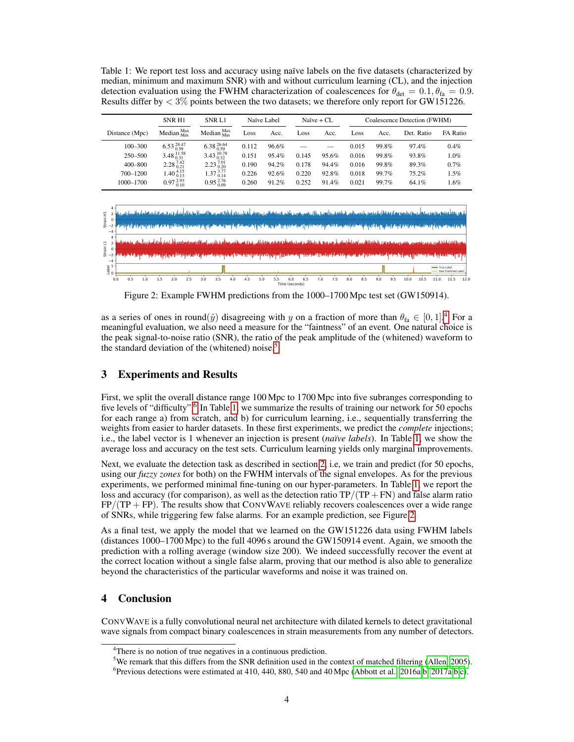<span id="page-3-3"></span>Table 1: We report test loss and accuracy using naïve labels on the five datasets (characterized by median, minimum and maximum SNR) with and without curriculum learning (CL), and the injection detection evaluation using the FWHM characterization of coalescences for  $\theta_{\text{det}} = 0.1, \theta_{\text{fa}} = 0.9$ . Results differ by  $\langle 3\%$  points between the two datasets; we therefore only report for GW151226.

|                | SNR H <sub>1</sub>                   | SNR L1                         | Naïve Label |          | Naïve + CL |       | Coalescence Detection (FWHM) |       |            |          |
|----------------|--------------------------------------|--------------------------------|-------------|----------|------------|-------|------------------------------|-------|------------|----------|
| Distance (Mpc) | Median $M_{\text{Min}}^{\text{Max}}$ | Median $\frac{Max}{Min}$       | Loss        | Acc.     | Loss       | Acc.  | Loss                         | Acc.  | Det. Ratio | FA Ratio |
| $100 - 300$    | $6.53\substack{28.47\\0.59}$         | $6.38\substack{26.64\\0.59}$   | 0.112       | 96.6%    |            |       | 0.015                        | 99.8% | 97.4%      | 0.4%     |
| 250-500        | $3.48\substack{11.58\\0.31}$         | $3.43\substack{10.78 \\ 0.32}$ | 0.151       | $95.4\%$ | 0.145      | 95.6% | 0.016                        | 99.8% | 93.8%      | $1.0\%$  |
| 400-800        | $2.28\substack{7.42\\0.21}$          | $2.23\substack{7.01\\0.20}$    | 0.190       | 94.2%    | 0.178      | 94.4% | 0.016                        | 99.8% | 89.3%      | $0.7\%$  |
| 700-1200       | $1.40\substack{4.15 \\ 0.13}$        | $1.37_{0.14}^{3.77}$           | 0.226       | 92.6%    | 0.220      | 92.8% | 0.018                        | 99.7% | $75.2\%$   | 1.5%     |
| 1000-1700      | $0.97\substack{2.93 \\ 0.10}$        | $0.95\substack{2.76 \\ 0.09}$  | 0.260       | 91.2%    | 0.252      | 91.4% | 0.021                        | 99.7% | 64.1%      | .6%      |



<span id="page-3-4"></span>Figure 2: Example FWHM predictions from the 1000–1700 Mpc test set (GW150914).

as a series of ones in round $(\hat{y})$  disagreeing with y on a fraction of more than  $\theta_{fa} \in [0,1]^4$  $\theta_{fa} \in [0,1]^4$ . For a meaningful evaluation, we also need a measure for the "faintness" of an event. One natural choice is the peak signal-to-noise ratio (SNR), the ratio of the peak amplitude of the (whitened) waveform to the standard deviation of the (whitened) noise.<sup>[5](#page-3-1)</sup>

# 3 Experiments and Results

First, we split the overall distance range 100 Mpc to 1700 Mpc into five subranges corresponding to five levels of "difficulty".<sup>[6](#page-3-2)</sup> In Table [1,](#page-3-3) we summarize the results of training our network for 50 epochs for each range a) from scratch, and b) for curriculum learning, i.e., sequentially transferring the weights from easier to harder datasets. In these first experiments, we predict the *complete* injections; i.e., the label vector is 1 whenever an injection is present (*naïve labels*). In Table [1,](#page-3-3) we show the average loss and accuracy on the test sets. Curriculum learning yields only marginal improvements.

Next, we evaluate the detection task as described in section [2,](#page-1-3) i.e, we train and predict (for 50 epochs, using our *fuzzy zones* for both) on the FWHM intervals of the signal envelopes. As for the previous experiments, we performed minimal fine-tuning on our hyper-parameters. In Table [1,](#page-3-3) we report the loss and accuracy (for comparison), as well as the detection ratio  $TP/(TP + FN)$  and false alarm ratio  $FP/(TP + FP)$ . The results show that CONVWAVE reliably recovers coalescences over a wide range of SNRs, while triggering few false alarms. For an example prediction, see Figure [2.](#page-3-4)

As a final test, we apply the model that we learned on the GW151226 data using FWHM labels (distances 1000–1700 Mpc) to the full 4096 s around the GW150914 event. Again, we smooth the prediction with a rolling average (window size 200). We indeed successfully recover the event at the correct location without a single false alarm, proving that our method is also able to generalize beyond the characteristics of the particular waveforms and noise it was trained on.

# 4 Conclusion

CONVWAVE is a fully convolutional neural net architecture with dilated kernels to detect gravitational wave signals from compact binary coalescences in strain measurements from any number of detectors.

<span id="page-3-0"></span><sup>&</sup>lt;sup>4</sup>There is no notion of true negatives in a continuous prediction.

<span id="page-3-1"></span><sup>&</sup>lt;sup>5</sup>We remark that this differs from the SNR definition used in the context of matched filtering [\(Allen, 2005\)](#page-4-5).

<span id="page-3-2"></span><sup>&</sup>lt;sup>6</sup> Previous detections were estimated at 410, 440, 880, 540 and 40 Mpc [\(Abbott et al., 2016a](#page-4-2)[,b,](#page-4-13) [2017a](#page-4-12),b,[c\)](#page-4-14).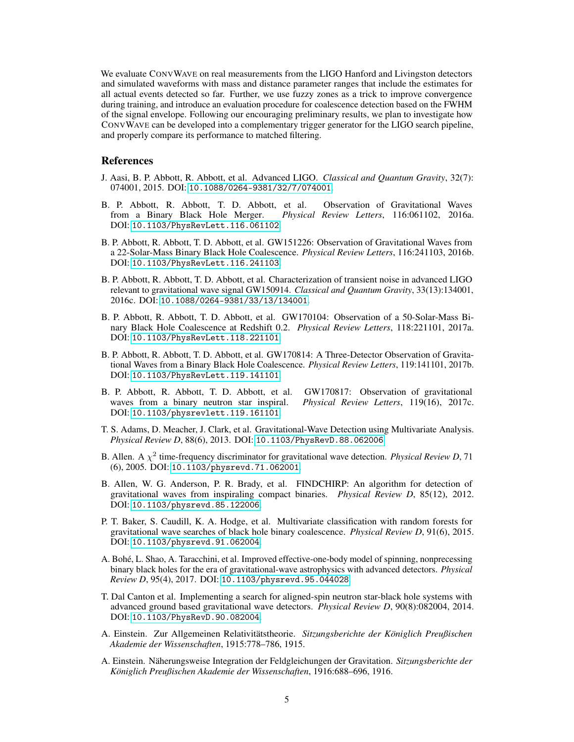We evaluate CONVWAVE on real measurements from the LIGO Hanford and Livingston detectors and simulated waveforms with mass and distance parameter ranges that include the estimates for all actual events detected so far. Further, we use fuzzy zones as a trick to improve convergence during training, and introduce an evaluation procedure for coalescence detection based on the FWHM of the signal envelope. Following our encouraging preliminary results, we plan to investigate how CONVWAVE can be developed into a complementary trigger generator for the LIGO search pipeline, and properly compare its performance to matched filtering.

#### References

- <span id="page-4-4"></span>J. Aasi, B. P. Abbott, R. Abbott, et al. Advanced LIGO. *Classical and Quantum Gravity*, 32(7): 074001, 2015. DOI: [10.1088/0264-9381/32/7/074001](https://doi.org/10.1088/0264-9381/32/7/074001).
- <span id="page-4-2"></span>B. P. Abbott, R. Abbott, T. D. Abbott, et al. Observation of Gravitational Waves from a Binary Black Hole Merger. *Physical Review Letters*, 116:061102, 2016a. *Physical Review Letters*, 116:061102, 2016a. DOI: [10.1103/PhysRevLett.116.061102](https://doi.org/10.1103/PhysRevLett.116.061102).
- <span id="page-4-11"></span>B. P. Abbott, R. Abbott, T. D. Abbott, et al. GW151226: Observation of Gravitational Waves from a 22-Solar-Mass Binary Black Hole Coalescence. *Physical Review Letters*, 116:241103, 2016b. DOI: [10.1103/PhysRevLett.116.241103](https://doi.org/10.1103/PhysRevLett.116.241103).
- <span id="page-4-3"></span>B. P. Abbott, R. Abbott, T. D. Abbott, et al. Characterization of transient noise in advanced LIGO relevant to gravitational wave signal GW150914. *Classical and Quantum Gravity*, 33(13):134001, 2016c. DOI: [10.1088/0264-9381/33/13/134001](https://doi.org/10.1088/0264-9381/33/13/134001).
- <span id="page-4-12"></span>B. P. Abbott, R. Abbott, T. D. Abbott, et al. GW170104: Observation of a 50-Solar-Mass Binary Black Hole Coalescence at Redshift 0.2. *Physical Review Letters*, 118:221101, 2017a. DOI: [10.1103/PhysRevLett.118.221101](https://doi.org/10.1103/PhysRevLett.118.221101).
- <span id="page-4-13"></span>B. P. Abbott, R. Abbott, T. D. Abbott, et al. GW170814: A Three-Detector Observation of Gravitational Waves from a Binary Black Hole Coalescence. *Physical Review Letters*, 119:141101, 2017b. DOI: [10.1103/PhysRevLett.119.141101](https://doi.org/10.1103/PhysRevLett.119.141101).
- <span id="page-4-14"></span>B. P. Abbott, R. Abbott, T. D. Abbott, et al. GW170817: Observation of gravitational waves from a binary neutron star inspiral. *Physical Review Letters*, 119(16), 2017c. DOI: [10.1103/physrevlett.119.161101](https://doi.org/10.1103/physrevlett.119.161101).
- <span id="page-4-7"></span>T. S. Adams, D. Meacher, J. Clark, et al. Gravitational-Wave Detection using Multivariate Analysis. *Physical Review D*, 88(6), 2013. DOI: [10.1103/PhysRevD.88.062006](https://doi.org/10.1103/PhysRevD.88.062006).
- <span id="page-4-5"></span>B. Allen. A  $\chi^2$  time-frequency discriminator for gravitational wave detection. *Physical Review D*, 71 (6), 2005. DOI: [10.1103/physrevd.71.062001](https://doi.org/10.1103/physrevd.71.062001).
- <span id="page-4-6"></span>B. Allen, W. G. Anderson, P. R. Brady, et al. FINDCHIRP: An algorithm for detection of gravitational waves from inspiraling compact binaries. *Physical Review D*, 85(12), 2012. DOI: [10.1103/physrevd.85.122006](https://doi.org/10.1103/physrevd.85.122006).
- <span id="page-4-8"></span>P. T. Baker, S. Caudill, K. A. Hodge, et al. Multivariate classification with random forests for gravitational wave searches of black hole binary coalescence. *Physical Review D*, 91(6), 2015. DOI: [10.1103/physrevd.91.062004](https://doi.org/10.1103/physrevd.91.062004).
- <span id="page-4-10"></span>A. Bohé, L. Shao, A. Taracchini, et al. Improved effective-one-body model of spinning, nonprecessing binary black holes for the era of gravitational-wave astrophysics with advanced detectors. *Physical Review D*, 95(4), 2017. DOI: [10.1103/physrevd.95.044028](https://doi.org/10.1103/physrevd.95.044028).
- <span id="page-4-9"></span>T. Dal Canton et al. Implementing a search for aligned-spin neutron star-black hole systems with advanced ground based gravitational wave detectors. *Physical Review D*, 90(8):082004, 2014. DOI: [10.1103/PhysRevD.90.082004](https://doi.org/10.1103/PhysRevD.90.082004).
- <span id="page-4-0"></span>A. Einstein. Zur Allgemeinen Relativitätstheorie. *Sitzungsberichte der Königlich Preußischen Akademie der Wissenschaften*, 1915:778–786, 1915.
- <span id="page-4-1"></span>A. Einstein. Näherungsweise Integration der Feldgleichungen der Gravitation. *Sitzungsberichte der Königlich Preußischen Akademie der Wissenschaften*, 1916:688–696, 1916.